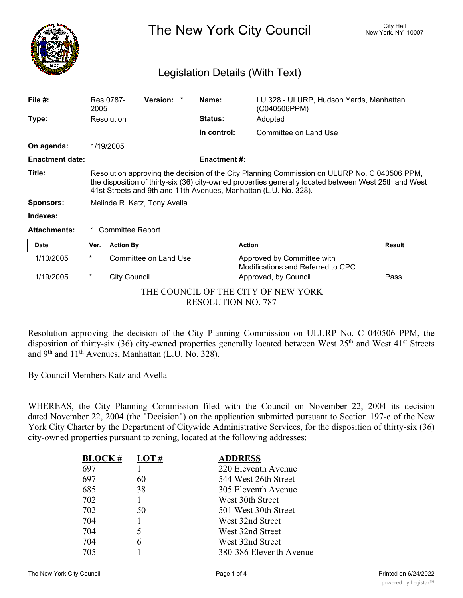

The New York City Council New York, NY 10007

## Legislation Details (With Text)

| File $#$ :                                                       | 2005                                                                                                                                                                                                                                                                      | Res 0787-           | Version: *            | Name:          |                     | LU 328 - ULURP, Hudson Yards, Manhattan<br>(C040506PPM)         |               |
|------------------------------------------------------------------|---------------------------------------------------------------------------------------------------------------------------------------------------------------------------------------------------------------------------------------------------------------------------|---------------------|-----------------------|----------------|---------------------|-----------------------------------------------------------------|---------------|
| Type:                                                            |                                                                                                                                                                                                                                                                           | Resolution          |                       | <b>Status:</b> |                     | Adopted                                                         |               |
|                                                                  |                                                                                                                                                                                                                                                                           |                     |                       |                | In control:         | Committee on Land Use                                           |               |
| On agenda:                                                       |                                                                                                                                                                                                                                                                           | 1/19/2005           |                       |                |                     |                                                                 |               |
| <b>Enactment date:</b>                                           |                                                                                                                                                                                                                                                                           |                     |                       |                | <b>Enactment #:</b> |                                                                 |               |
| Title:                                                           | Resolution approving the decision of the City Planning Commission on ULURP No. C 040506 PPM,<br>the disposition of thirty-six (36) city-owned properties generally located between West 25th and West<br>41st Streets and 9th and 11th Avenues, Manhattan (L.U. No. 328). |                     |                       |                |                     |                                                                 |               |
| <b>Sponsors:</b>                                                 | Melinda R. Katz, Tony Avella                                                                                                                                                                                                                                              |                     |                       |                |                     |                                                                 |               |
| Indexes:                                                         |                                                                                                                                                                                                                                                                           |                     |                       |                |                     |                                                                 |               |
| <b>Attachments:</b><br>1. Committee Report                       |                                                                                                                                                                                                                                                                           |                     |                       |                |                     |                                                                 |               |
| Date                                                             | Ver.                                                                                                                                                                                                                                                                      | <b>Action By</b>    |                       |                | <b>Action</b>       |                                                                 | <b>Result</b> |
| 1/10/2005                                                        | $\star$                                                                                                                                                                                                                                                                   |                     | Committee on Land Use |                |                     | Approved by Committee with<br>Modifications and Referred to CPC |               |
| 1/19/2005                                                        | $\star$                                                                                                                                                                                                                                                                   | <b>City Council</b> |                       |                |                     | Approved, by Council                                            | Pass          |
| THE COUNCIL OF THE CITY OF NEW YORK<br><b>RESOLUTION NO. 787</b> |                                                                                                                                                                                                                                                                           |                     |                       |                |                     |                                                                 |               |

Resolution approving the decision of the City Planning Commission on ULURP No. C 040506 PPM, the disposition of thirty-six (36) city-owned properties generally located between West 25<sup>th</sup> and West 41<sup>st</sup> Streets and 9th and 11th Avenues, Manhattan (L.U. No. 328).

By Council Members Katz and Avella

WHEREAS, the City Planning Commission filed with the Council on November 22, 2004 its decision dated November 22, 2004 (the "Decision") on the application submitted pursuant to Section 197-c of the New York City Charter by the Department of Citywide Administrative Services, for the disposition of thirty-six (36) city-owned properties pursuant to zoning, located at the following addresses:

| <b>BLOCK#</b> | LOT# | <b>ADDRESS</b>          |
|---------------|------|-------------------------|
| 697           |      | 220 Eleventh Avenue     |
| 697           | 60   | 544 West 26th Street    |
| 685           | 38   | 305 Eleventh Avenue     |
| 702           |      | West 30th Street        |
| 702           | 50   | 501 West 30th Street    |
| 704           |      | West 32nd Street        |
| 704           | 5    | West 32nd Street        |
| 704           | 6    | West 32nd Street        |
| 705           |      | 380-386 Eleventh Avenue |
|               |      |                         |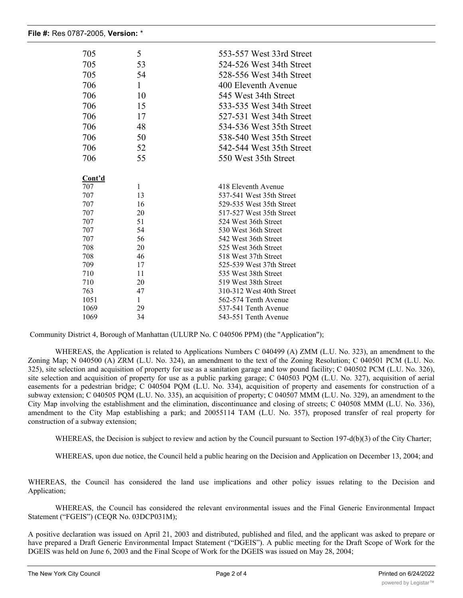| 705    | 5            | 553-557 West 33rd Street |
|--------|--------------|--------------------------|
| 705    | 53           | 524-526 West 34th Street |
| 705    | 54           | 528-556 West 34th Street |
| 706    | 1            | 400 Eleventh Avenue      |
|        |              |                          |
| 706    | 10           | 545 West 34th Street     |
| 706    | 15           | 533-535 West 34th Street |
| 706    | 17           | 527-531 West 34th Street |
| 706    | 48           | 534-536 West 35th Street |
| 706    | 50           | 538-540 West 35th Street |
| 706    | 52           | 542-544 West 35th Street |
| 706    | 55           | 550 West 35th Street     |
|        |              |                          |
| Cont'd |              |                          |
| 707    | $\mathbf{1}$ | 418 Eleventh Avenue      |
| 707    | 13           | 537-541 West 35th Street |
| 707    | 16           | 529-535 West 35th Street |
| 707    | 20           | 517-527 West 35th Street |
| 707    | 51           | 524 West 36th Street     |
| 707    | 54           | 530 West 36th Street     |
| 707    | 56           | 542 West 36th Street     |
| 708    | 20           | 525 West 36th Street     |
| 708    | 46           | 518 West 37th Street     |
| 709    | 17           | 525-539 West 37th Street |
| 710    | 11           | 535 West 38th Street     |
| 710    | 20           | 519 West 38th Street     |
| 763    | 47           | 310-312 West 40th Street |
| 1051   | $\mathbf{1}$ | 562-574 Tenth Avenue     |
| 1069   | 29           | 537-541 Tenth Avenue     |
| 1069   | 34           | 543-551 Tenth Avenue     |

Community District 4, Borough of Manhattan (ULURP No. C 040506 PPM) (the "Application");

WHEREAS, the Application is related to Applications Numbers C 040499 (A) ZMM (L.U. No. 323), an amendment to the Zoning Map; N 040500 (A) ZRM (L.U. No. 324), an amendment to the text of the Zoning Resolution; C 040501 PCM (L.U. No. 325), site selection and acquisition of property for use as a sanitation garage and tow pound facility; C 040502 PCM (L.U. No. 326), site selection and acquisition of property for use as a public parking garage; C 040503 PQM (L.U. No. 327), acquisition of aerial easements for a pedestrian bridge; C 040504 PQM (L.U. No. 334), acquisition of property and easements for construction of a subway extension; C 040505 PQM (L.U. No. 335), an acquisition of property; C 040507 MMM (L.U. No. 329), an amendment to the City Map involving the establishment and the elimination, discontinuance and closing of streets; C 040508 MMM (L.U. No. 336), amendment to the City Map establishing a park; and 20055114 TAM (L.U. No. 357), proposed transfer of real property for construction of a subway extension;

WHEREAS, the Decision is subject to review and action by the Council pursuant to Section 197-d(b)(3) of the City Charter;

WHEREAS, upon due notice, the Council held a public hearing on the Decision and Application on December 13, 2004; and

WHEREAS, the Council has considered the land use implications and other policy issues relating to the Decision and Application;

WHEREAS, the Council has considered the relevant environmental issues and the Final Generic Environmental Impact Statement ("FGEIS") (CEQR No. 03DCP031M);

A positive declaration was issued on April 21, 2003 and distributed, published and filed, and the applicant was asked to prepare or have prepared a Draft Generic Environmental Impact Statement ("DGEIS"). A public meeting for the Draft Scope of Work for the DGEIS was held on June 6, 2003 and the Final Scope of Work for the DGEIS was issued on May 28, 2004;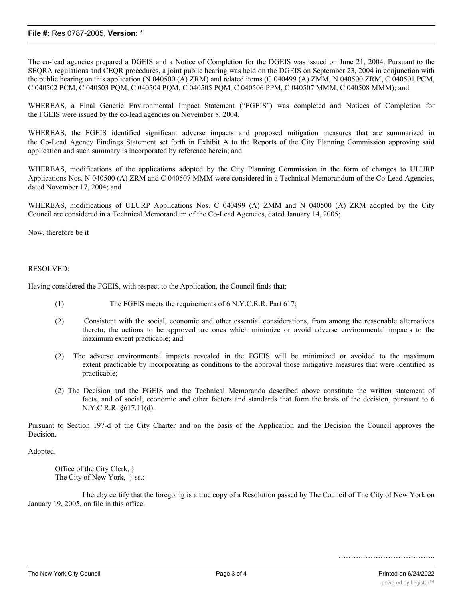## **File #:** Res 0787-2005, **Version:** \*

The co-lead agencies prepared a DGEIS and a Notice of Completion for the DGEIS was issued on June 21, 2004. Pursuant to the SEQRA regulations and CEQR procedures, a joint public hearing was held on the DGEIS on September 23, 2004 in conjunction with the public hearing on this application (N 040500 (A) ZRM) and related items (C 040499 (A) ZMM, N 040500 ZRM, C 040501 PCM, C 040502 PCM, C 040503 PQM, C 040504 PQM, C 040505 PQM, C 040506 PPM, C 040507 MMM, C 040508 MMM); and

WHEREAS, a Final Generic Environmental Impact Statement ("FGEIS") was completed and Notices of Completion for the FGEIS were issued by the co-lead agencies on November 8, 2004.

WHEREAS, the FGEIS identified significant adverse impacts and proposed mitigation measures that are summarized in the Co-Lead Agency Findings Statement set forth in Exhibit A to the Reports of the City Planning Commission approving said application and such summary is incorporated by reference herein; and

WHEREAS, modifications of the applications adopted by the City Planning Commission in the form of changes to ULURP Applications Nos. N 040500 (A) ZRM and C 040507 MMM were considered in a Technical Memorandum of the Co-Lead Agencies, dated November 17, 2004; and

WHEREAS, modifications of ULURP Applications Nos. C 040499 (A) ZMM and N 040500 (A) ZRM adopted by the City Council are considered in a Technical Memorandum of the Co-Lead Agencies, dated January 14, 2005;

Now, therefore be it

## RESOLVED:

Having considered the FGEIS, with respect to the Application, the Council finds that:

- (1) The FGEIS meets the requirements of 6 N.Y.C.R.R. Part 617;
- (2) Consistent with the social, economic and other essential considerations, from among the reasonable alternatives thereto, the actions to be approved are ones which minimize or avoid adverse environmental impacts to the maximum extent practicable; and
- (2) The adverse environmental impacts revealed in the FGEIS will be minimized or avoided to the maximum extent practicable by incorporating as conditions to the approval those mitigative measures that were identified as practicable;
- (2) The Decision and the FGEIS and the Technical Memoranda described above constitute the written statement of facts, and of social, economic and other factors and standards that form the basis of the decision, pursuant to 6 N.Y.C.R.R. §617.11(d).

Pursuant to Section 197-d of the City Charter and on the basis of the Application and the Decision the Council approves the Decision.

Adopted.

Office of the City Clerk, } The City of New York, } ss.:

I hereby certify that the foregoing is a true copy of a Resolution passed by The Council of The City of New York on January 19, 2005, on file in this office.

…………………………………………………………